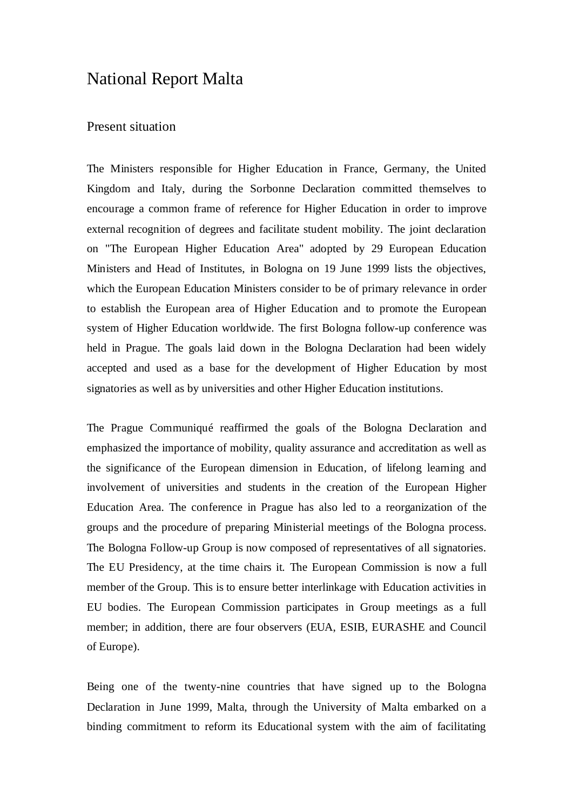### National Report Malta

#### Present situation

The Ministers responsible for Higher Education in France, Germany, the United Kingdom and Italy, during the Sorbonne Declaration committed themselves to encourage a common frame of reference for Higher Education in order to improve external recognition of degrees and facilitate student mobility. The joint declaration on "The European Higher Education Area" adopted by 29 European Education Ministers and Head of Institutes, in Bologna on 19 June 1999 lists the objectives, which the European Education Ministers consider to be of primary relevance in order to establish the European area of Higher Education and to promote the European system of Higher Education worldwide. The first Bologna follow-up conference was held in Prague. The goals laid down in the Bologna Declaration had been widely accepted and used as a base for the development of Higher Education by most signatories as well as by universities and other Higher Education institutions.

The Prague Communiqué reaffirmed the goals of the Bologna Declaration and emphasized the importance of mobility, quality assurance and accreditation as well as the significance of the European dimension in Education, of lifelong learning and involvement of universities and students in the creation of the European Higher Education Area. The conference in Prague has also led to a reorganization of the groups and the procedure of preparing Ministerial meetings of the Bologna process. The Bologna Follow-up Group is now composed of representatives of all signatories. The EU Presidency, at the time chairs it. The European Commission is now a full member of the Group. This is to ensure better interlinkage with Education activities in EU bodies. The European Commission participates in Group meetings as a full member; in addition, there are four observers (EUA, ESIB, EURASHE and Council of Europe).

Being one of the twenty-nine countries that have signed up to the Bologna Declaration in June 1999, Malta, through the University of Malta embarked on a binding commitment to reform its Educational system with the aim of facilitating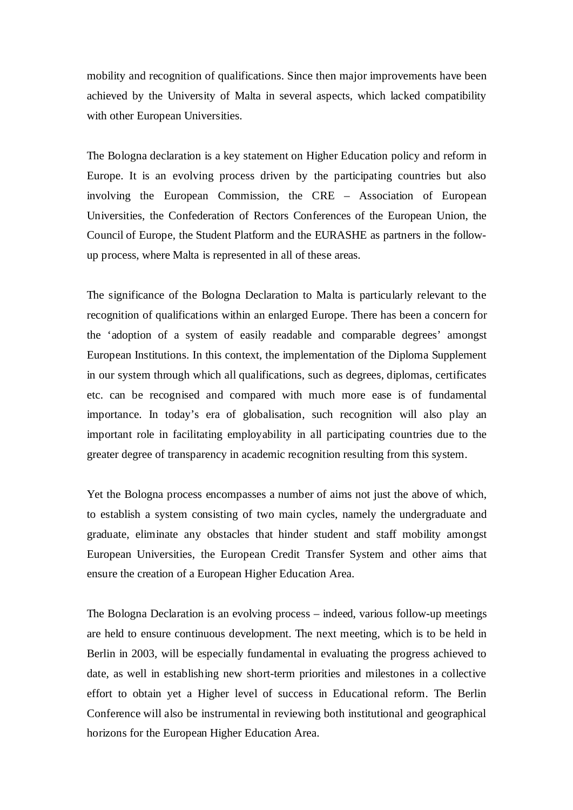mobility and recognition of qualifications. Since then major improvements have been achieved by the University of Malta in several aspects, which lacked compatibility with other European Universities.

The Bologna declaration is a key statement on Higher Education policy and reform in Europe. It is an evolving process driven by the participating countries but also involving the European Commission, the CRE – Association of European Universities, the Confederation of Rectors Conferences of the European Union, the Council of Europe, the Student Platform and the EURASHE as partners in the followup process, where Malta is represented in all of these areas.

The significance of the Bologna Declaration to Malta is particularly relevant to the recognition of qualifications within an enlarged Europe. There has been a concern for the 'adoption of a system of easily readable and comparable degrees' amongst European Institutions. In this context, the implementation of the Diploma Supplement in our system through which all qualifications, such as degrees, diplomas, certificates etc. can be recognised and compared with much more ease is of fundamental importance. In today's era of globalisation, such recognition will also play an important role in facilitating employability in all participating countries due to the greater degree of transparency in academic recognition resulting from this system.

Yet the Bologna process encompasses a number of aims not just the above of which, to establish a system consisting of two main cycles, namely the undergraduate and graduate, eliminate any obstacles that hinder student and staff mobility amongst European Universities, the European Credit Transfer System and other aims that ensure the creation of a European Higher Education Area.

The Bologna Declaration is an evolving process – indeed, various follow-up meetings are held to ensure continuous development. The next meeting, which is to be held in Berlin in 2003, will be especially fundamental in evaluating the progress achieved to date, as well in establishing new short-term priorities and milestones in a collective effort to obtain yet a Higher level of success in Educational reform. The Berlin Conference will also be instrumental in reviewing both institutional and geographical horizons for the European Higher Education Area.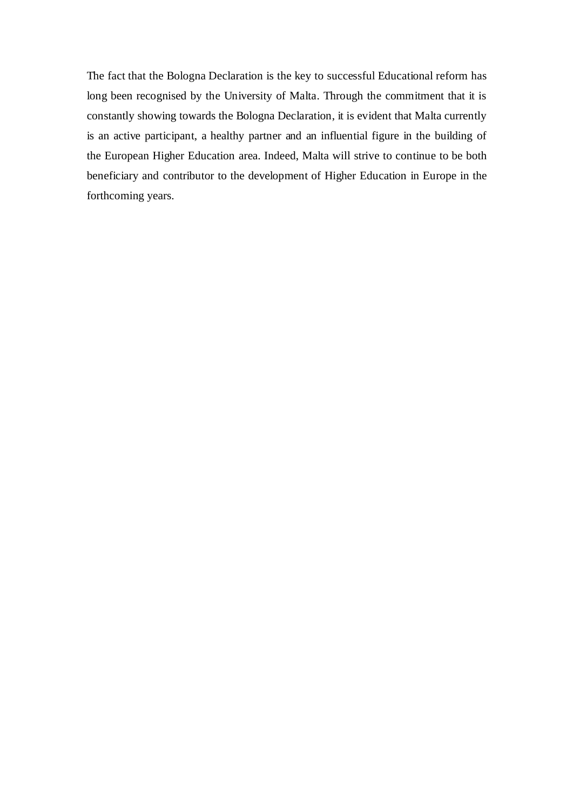The fact that the Bologna Declaration is the key to successful Educational reform has long been recognised by the University of Malta. Through the commitment that it is constantly showing towards the Bologna Declaration, it is evident that Malta currently is an active participant, a healthy partner and an influential figure in the building of the European Higher Education area. Indeed, Malta will strive to continue to be both beneficiary and contributor to the development of Higher Education in Europe in the forthcoming years.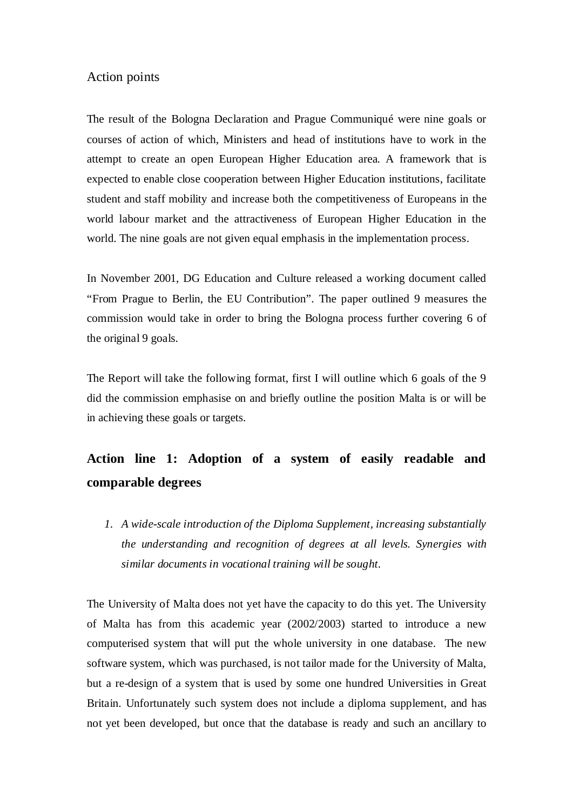#### Action points

The result of the Bologna Declaration and Prague Communiqué were nine goals or courses of action of which, Ministers and head of institutions have to work in the attempt to create an open European Higher Education area. A framework that is expected to enable close cooperation between Higher Education institutions, facilitate student and staff mobility and increase both the competitiveness of Europeans in the world labour market and the attractiveness of European Higher Education in the world. The nine goals are not given equal emphasis in the implementation process.

In November 2001, DG Education and Culture released a working document called "From Prague to Berlin, the EU Contribution". The paper outlined 9 measures the commission would take in order to bring the Bologna process further covering 6 of the original 9 goals.

The Report will take the following format, first I will outline which 6 goals of the 9 did the commission emphasise on and briefly outline the position Malta is or will be in achieving these goals or targets.

# **Action line 1: Adoption of a system of easily readable and comparable degrees**

*1. A wide-scale introduction of the Diploma Supplement, increasing substantially the understanding and recognition of degrees at all levels. Synergies with similar documents in vocational training will be sought.*

The University of Malta does not yet have the capacity to do this yet. The University of Malta has from this academic year (2002/2003) started to introduce a new computerised system that will put the whole university in one database. The new software system, which was purchased, is not tailor made for the University of Malta, but a re-design of a system that is used by some one hundred Universities in Great Britain. Unfortunately such system does not include a diploma supplement, and has not yet been developed, but once that the database is ready and such an ancillary to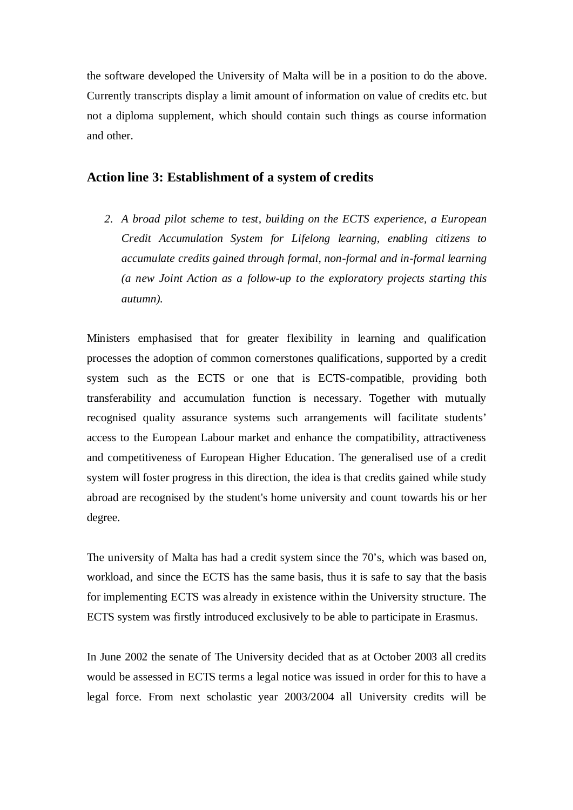the software developed the University of Malta will be in a position to do the above. Currently transcripts display a limit amount of information on value of credits etc. but not a diploma supplement, which should contain such things as course information and other.

#### **Action line 3: Establishment of a system of credits**

*2. A broad pilot scheme to test, building on the ECTS experience, a European Credit Accumulation System for Lifelong learning, enabling citizens to accumulate credits gained through formal, non-formal and in-formal learning (a new Joint Action as a follow-up to the exploratory projects starting this autumn).*

Ministers emphasised that for greater flexibility in learning and qualification processes the adoption of common cornerstones qualifications, supported by a credit system such as the ECTS or one that is ECTS-compatible, providing both transferability and accumulation function is necessary. Together with mutually recognised quality assurance systems such arrangements will facilitate students' access to the European Labour market and enhance the compatibility, attractiveness and competitiveness of European Higher Education. The generalised use of a credit system will foster progress in this direction, the idea is that credits gained while study abroad are recognised by the student's home university and count towards his or her degree.

The university of Malta has had a credit system since the 70's, which was based on, workload, and since the ECTS has the same basis, thus it is safe to say that the basis for implementing ECTS was already in existence within the University structure. The ECTS system was firstly introduced exclusively to be able to participate in Erasmus.

In June 2002 the senate of The University decided that as at October 2003 all credits would be assessed in ECTS terms a legal notice was issued in order for this to have a legal force. From next scholastic year 2003/2004 all University credits will be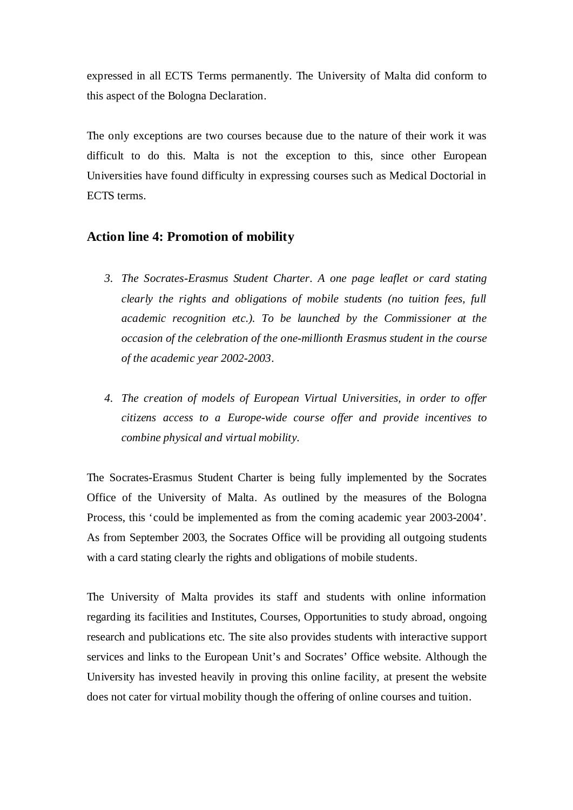expressed in all ECTS Terms permanently. The University of Malta did conform to this aspect of the Bologna Declaration.

The only exceptions are two courses because due to the nature of their work it was difficult to do this. Malta is not the exception to this, since other European Universities have found difficulty in expressing courses such as Medical Doctorial in ECTS terms.

### **Action line 4: Promotion of mobility**

- *3. The Socrates-Erasmus Student Charter. A one page leaflet or card stating clearly the rights and obligations of mobile students (no tuition fees, full academic recognition etc.). To be launched by the Commissioner at the occasion of the celebration of the one-millionth Erasmus student in the course of the academic year 2002-2003.*
- *4. The creation of models of European Virtual Universities, in order to offer citizens access to a Europe-wide course offer and provide incentives to combine physical and virtual mobility.*

The Socrates-Erasmus Student Charter is being fully implemented by the Socrates Office of the University of Malta. As outlined by the measures of the Bologna Process, this 'could be implemented as from the coming academic year 2003-2004'. As from September 2003, the Socrates Office will be providing all outgoing students with a card stating clearly the rights and obligations of mobile students.

The University of Malta provides its staff and students with online information regarding its facilities and Institutes, Courses, Opportunities to study abroad, ongoing research and publications etc. The site also provides students with interactive support services and links to the European Unit's and Socrates' Office website. Although the University has invested heavily in proving this online facility, at present the website does not cater for virtual mobility though the offering of online courses and tuition.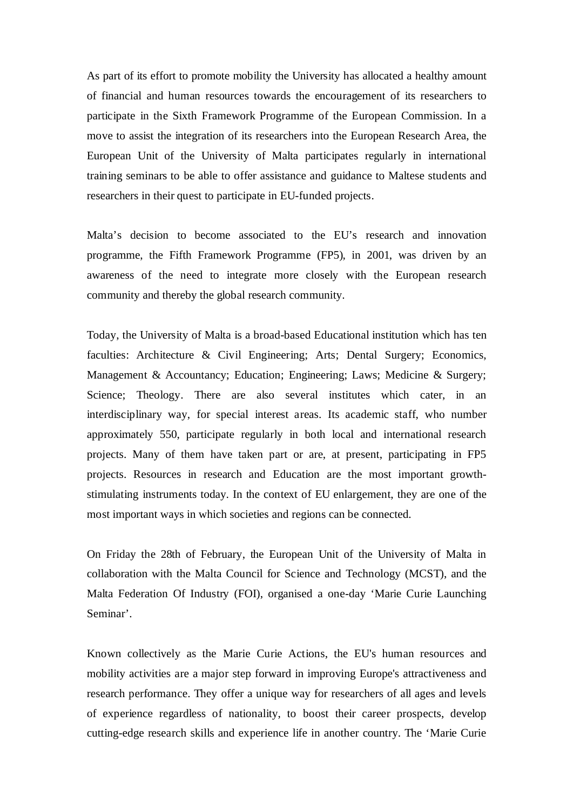As part of its effort to promote mobility the University has allocated a healthy amount of financial and human resources towards the encouragement of its researchers to participate in the Sixth Framework Programme of the European Commission. In a move to assist the integration of its researchers into the European Research Area, the European Unit of the University of Malta participates regularly in international training seminars to be able to offer assistance and guidance to Maltese students and researchers in their quest to participate in EU-funded projects.

Malta's decision to become associated to the EU's research and innovation programme, the Fifth Framework Programme (FP5), in 2001, was driven by an awareness of the need to integrate more closely with the European research community and thereby the global research community.

Today, the University of Malta is a broad-based Educational institution which has ten faculties: Architecture & Civil Engineering; Arts; Dental Surgery; Economics, Management & Accountancy; Education; Engineering; Laws; Medicine & Surgery; Science; Theology. There are also several institutes which cater, in an interdisciplinary way, for special interest areas. Its academic staff, who number approximately 550, participate regularly in both local and international research projects. Many of them have taken part or are, at present, participating in FP5 projects. Resources in research and Education are the most important growthstimulating instruments today. In the context of EU enlargement, they are one of the most important ways in which societies and regions can be connected.

On Friday the 28th of February, the European Unit of the University of Malta in collaboration with the Malta Council for Science and Technology (MCST), and the Malta Federation Of Industry (FOI), organised a one-day 'Marie Curie Launching Seminar'.

Known collectively as the Marie Curie Actions, the EU's human resources and mobility activities are a major step forward in improving Europe's attractiveness and research performance. They offer a unique way for researchers of all ages and levels of experience regardless of nationality, to boost their career prospects, develop cutting-edge research skills and experience life in another country. The 'Marie Curie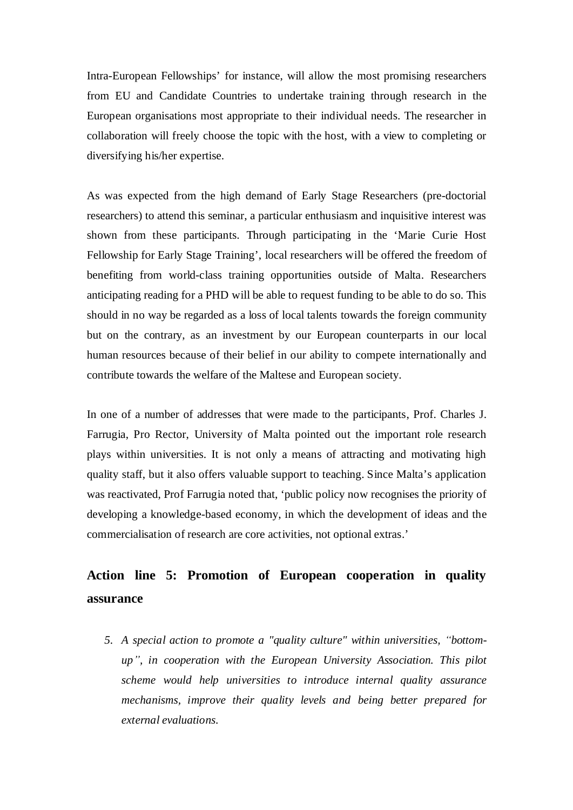Intra-European Fellowships' for instance, will allow the most promising researchers from EU and Candidate Countries to undertake training through research in the European organisations most appropriate to their individual needs. The researcher in collaboration will freely choose the topic with the host, with a view to completing or diversifying his/her expertise.

As was expected from the high demand of Early Stage Researchers (pre-doctorial researchers) to attend this seminar, a particular enthusiasm and inquisitive interest was shown from these participants. Through participating in the 'Marie Curie Host Fellowship for Early Stage Training', local researchers will be offered the freedom of benefiting from world-class training opportunities outside of Malta. Researchers anticipating reading for a PHD will be able to request funding to be able to do so. This should in no way be regarded as a loss of local talents towards the foreign community but on the contrary, as an investment by our European counterparts in our local human resources because of their belief in our ability to compete internationally and contribute towards the welfare of the Maltese and European society.

In one of a number of addresses that were made to the participants, Prof. Charles J. Farrugia, Pro Rector, University of Malta pointed out the important role research plays within universities. It is not only a means of attracting and motivating high quality staff, but it also offers valuable support to teaching. Since Malta's application was reactivated, Prof Farrugia noted that, 'public policy now recognises the priority of developing a knowledge-based economy, in which the development of ideas and the commercialisation of research are core activities, not optional extras.'

# **Action line 5: Promotion of European cooperation in quality assurance**

5. A special action to promote a "quality culture" within universities, "bottom*up´, in cooperation with the European University Association. This pilot scheme would help universities to introduce internal quality assurance mechanisms, improve their quality levels and being better prepared for external evaluations.*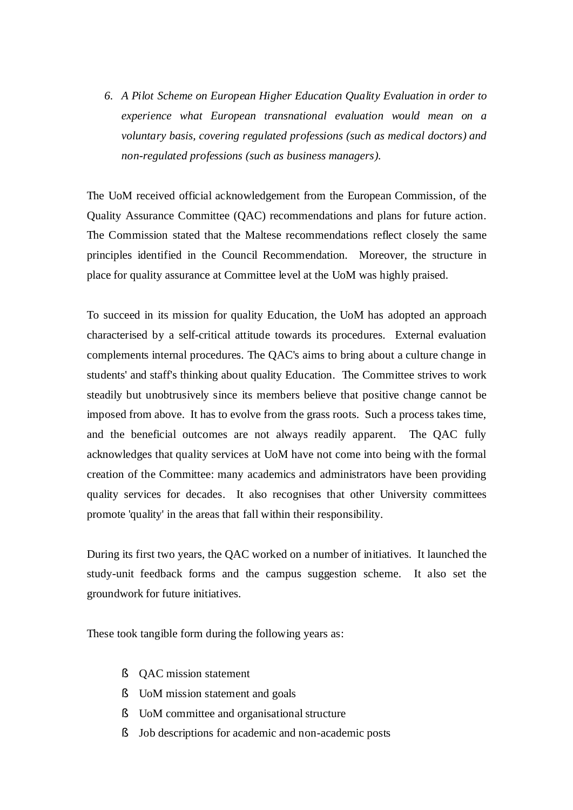*6. A Pilot Scheme on European Higher Education Quality Evaluation in order to experience what European transnational evaluation would mean on a voluntary basis, covering regulated professions (such as medical doctors) and non-regulated professions (such as business managers).*

The UoM received official acknowledgement from the European Commission, of the Quality Assurance Committee (QAC) recommendations and plans for future action. The Commission stated that the Maltese recommendations reflect closely the same principles identified in the Council Recommendation. Moreover, the structure in place for quality assurance at Committee level at the UoM was highly praised.

To succeed in its mission for quality Education, the UoM has adopted an approach characterised by a self-critical attitude towards its procedures. External evaluation complements internal procedures. The QAC's aims to bring about a culture change in students' and staff's thinking about quality Education. The Committee strives to work steadily but unobtrusively since its members believe that positive change cannot be imposed from above. It has to evolve from the grass roots. Such a process takes time, and the beneficial outcomes are not always readily apparent. The QAC fully acknowledges that quality services at UoM have not come into being with the formal creation of the Committee: many academics and administrators have been providing quality services for decades. It also recognises that other University committees promote 'quality' in the areas that fall within their responsibility.

During its first two years, the QAC worked on a number of initiatives. It launched the study-unit feedback forms and the campus suggestion scheme. It also set the groundwork for future initiatives.

These took tangible form during the following years as:

- § QAC mission statement
- § UoM mission statement and goals
- § UoM committee and organisational structure
- § Job descriptions for academic and non-academic posts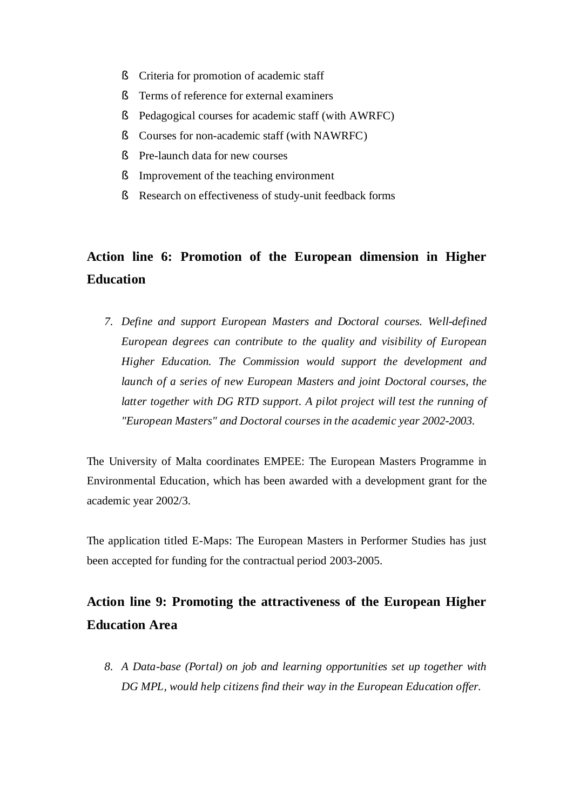- § Criteria for promotion of academic staff
- § Terms of reference for external examiners
- § Pedagogical courses for academic staff (with AWRFC)
- § Courses for non-academic staff (with NAWRFC)
- § Pre-launch data for new courses
- § Improvement of the teaching environment
- § Research on effectiveness of study-unit feedback forms

## **Action line 6: Promotion of the European dimension in Higher Education**

*7. Define and support European Masters and Doctoral courses. Well-defined European degrees can contribute to the quality and visibility of European Higher Education. The Commission would support the development and launch of a series of new European Masters and joint Doctoral courses, the latter together with DG RTD support. A pilot project will test the running of "European Masters" and Doctoral courses in the academic year 2002-2003.*

The University of Malta coordinates EMPEE: The European Masters Programme in Environmental Education, which has been awarded with a development grant for the academic year 2002/3.

The application titled E-Maps: The European Masters in Performer Studies has just been accepted for funding for the contractual period 2003-2005.

### **Action line 9: Promoting the attractiveness of the European Higher Education Area**

*8. A Data-base (Portal) on job and learning opportunities set up together with DG MPL, would help citizens find their way in the European Education offer.*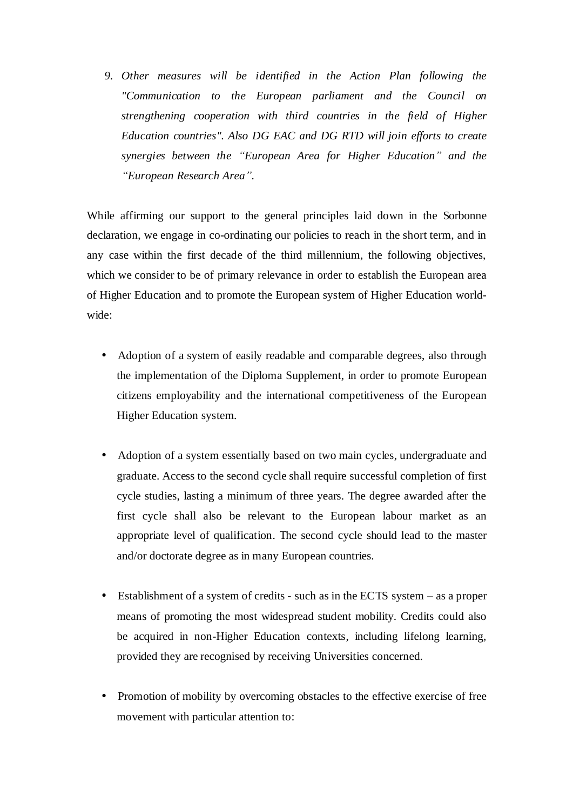*9. Other measures will be identified in the Action Plan following the "Communication to the European parliament and the Council on strengthening cooperation with third countries in the field of Higher Education countries". Also DG EAC and DG RTD will join efforts to create synergies between the ³European Area for Higher Education´ and the ³European Research Area´.*

While affirming our support to the general principles laid down in the Sorbonne declaration, we engage in co-ordinating our policies to reach in the short term, and in any case within the first decade of the third millennium, the following objectives, which we consider to be of primary relevance in order to establish the European area of Higher Education and to promote the European system of Higher Education worldwide:

- Adoption of a system of easily readable and comparable degrees, also through the implementation of the Diploma Supplement, in order to promote European citizens employability and the international competitiveness of the European Higher Education system.
- Adoption of a system essentially based on two main cycles, undergraduate and graduate. Access to the second cycle shall require successful completion of first cycle studies, lasting a minimum of three years. The degree awarded after the first cycle shall also be relevant to the European labour market as an appropriate level of qualification. The second cycle should lead to the master and/or doctorate degree as in many European countries.
- Establishment of a system of credits such as in the ECTS system as a proper means of promoting the most widespread student mobility. Credits could also be acquired in non-Higher Education contexts, including lifelong learning, provided they are recognised by receiving Universities concerned.
- Promotion of mobility by overcoming obstacles to the effective exercise of free movement with particular attention to: